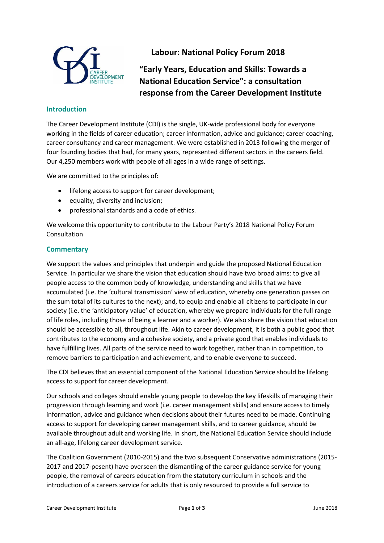

## **Labour: National Policy Forum 2018**

**"Early Years, Education and Skills: Towards a National Education Service": a consultation response from the Career Development Institute** 

## **Introduction**

The Career Development Institute (CDI) is the single, UK-wide professional body for everyone working in the fields of career education; career information, advice and guidance; career coaching, career consultancy and career management. We were established in 2013 following the merger of four founding bodies that had, for many years, represented different sectors in the careers field. Our 4,250 members work with people of all ages in a wide range of settings.

We are committed to the principles of:

- lifelong access to support for career development;
- equality, diversity and inclusion;
- professional standards and a code of ethics.

We welcome this opportunity to contribute to the Labour Party's 2018 National Policy Forum Consultation

## **Commentary**

We support the values and principles that underpin and guide the proposed National Education Service. In particular we share the vision that education should have two broad aims: to give all people access to the common body of knowledge, understanding and skills that we have accumulated (i.e. the 'cultural transmission' view of education, whereby one generation passes on the sum total of its cultures to the next); and, to equip and enable all citizens to participate in our society (i.e. the 'anticipatory value' of education, whereby we prepare individuals for the full range of life roles, including those of being a learner and a worker). We also share the vision that education should be accessible to all, throughout life. Akin to career development, it is both a public good that contributes to the economy and a cohesive society, and a private good that enables individuals to have fulfilling lives. All parts of the service need to work together, rather than in competition, to remove barriers to participation and achievement, and to enable everyone to succeed.

The CDI believes that an essential component of the National Education Service should be lifelong access to support for career development.

Our schools and colleges should enable young people to develop the key lifeskills of managing their progression through learning and work (i.e. career management skills) and ensure access to timely information, advice and guidance when decisions about their futures need to be made. Continuing access to support for developing career management skills, and to career guidance, should be available throughout adult and working life. In short, the National Education Service should include an all-age, lifelong career development service.

The Coalition Government (2010-2015) and the two subsequent Conservative administrations (2015- 2017 and 2017-pesent) have overseen the dismantling of the career guidance service for young people, the removal of careers education from the statutory curriculum in schools and the introduction of a careers service for adults that is only resourced to provide a full service to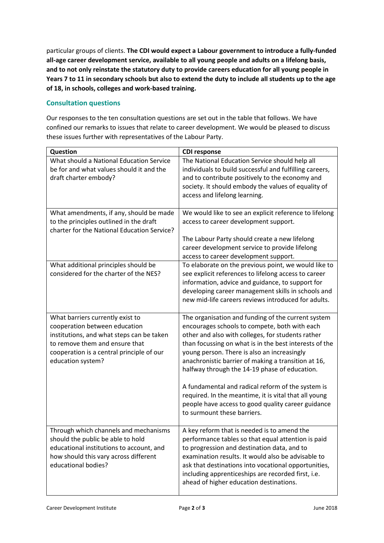particular groups of clients. **The CDI would expect a Labour government to introduce a fully-funded all-age career development service, available to all young people and adults on a lifelong basis, and to not only reinstate the statutory duty to provide careers education for all young people in Years 7 to 11 in secondary schools but also to extend the duty to include all students up to the age of 18, in schools, colleges and work-based training.**

## **Consultation questions**

Our responses to the ten consultation questions are set out in the table that follows. We have confined our remarks to issues that relate to career development. We would be pleased to discuss these issues further with representatives of the Labour Party.

| Question                                                                                                                                                                                                           | <b>CDI response</b>                                                                                                                                                                                                                                                                                                                                                                                                                                                                                                                                                          |
|--------------------------------------------------------------------------------------------------------------------------------------------------------------------------------------------------------------------|------------------------------------------------------------------------------------------------------------------------------------------------------------------------------------------------------------------------------------------------------------------------------------------------------------------------------------------------------------------------------------------------------------------------------------------------------------------------------------------------------------------------------------------------------------------------------|
| What should a National Education Service<br>be for and what values should it and the<br>draft charter embody?                                                                                                      | The National Education Service should help all<br>individuals to build successful and fulfilling careers,<br>and to contribute positively to the economy and<br>society. It should embody the values of equality of<br>access and lifelong learning.                                                                                                                                                                                                                                                                                                                         |
| What amendments, if any, should be made<br>to the principles outlined in the draft<br>charter for the National Education Service?                                                                                  | We would like to see an explicit reference to lifelong<br>access to career development support.<br>The Labour Party should create a new lifelong<br>career development service to provide lifelong                                                                                                                                                                                                                                                                                                                                                                           |
|                                                                                                                                                                                                                    | access to career development support.                                                                                                                                                                                                                                                                                                                                                                                                                                                                                                                                        |
| What additional principles should be<br>considered for the charter of the NES?                                                                                                                                     | To elaborate on the previous point, we would like to<br>see explicit references to lifelong access to career<br>information, advice and guidance, to support for<br>developing career management skills in schools and<br>new mid-life careers reviews introduced for adults.                                                                                                                                                                                                                                                                                                |
| What barriers currently exist to<br>cooperation between education<br>institutions, and what steps can be taken<br>to remove them and ensure that<br>cooperation is a central principle of our<br>education system? | The organisation and funding of the current system<br>encourages schools to compete, both with each<br>other and also with colleges, for students rather<br>than focussing on what is in the best interests of the<br>young person. There is also an increasingly<br>anachronistic barrier of making a transition at 16,<br>halfway through the 14-19 phase of education.<br>A fundamental and radical reform of the system is<br>required. In the meantime, it is vital that all young<br>people have access to good quality career guidance<br>to surmount these barriers. |
| Through which channels and mechanisms<br>should the public be able to hold<br>educational institutions to account, and<br>how should this vary across different<br>educational bodies?                             | A key reform that is needed is to amend the<br>performance tables so that equal attention is paid<br>to progression and destination data, and to<br>examination results. It would also be advisable to<br>ask that destinations into vocational opportunities,<br>including apprenticeships are recorded first, i.e.<br>ahead of higher education destinations.                                                                                                                                                                                                              |